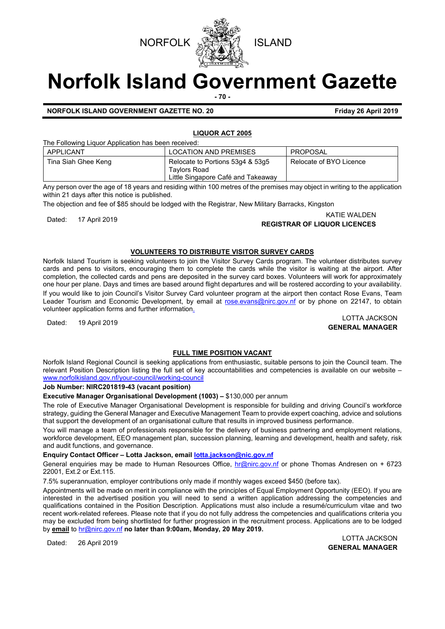



# **Norfolk Island Government Gazette**

**- 70 -**

# **NORFOLK ISLAND GOVERNMENT GAZETTE NO. 20 Friday 26 April 2019**

# **LIQUOR ACT 2005**

The Following Liquor Application has been received:

| APPLICANT           | <b>LOCATION AND PREMISES</b>                                                           | PROPOSAL                |
|---------------------|----------------------------------------------------------------------------------------|-------------------------|
| Tina Siah Ghee Keng | Relocate to Portions 53q4 & 53q5<br>Tavlors Road<br>Little Singapore Café and Takeaway | Relocate of BYO Licence |

Any person over the age of 18 years and residing within 100 metres of the premises may object in writing to the application within 21 days after this notice is published.

The objection and fee of \$85 should be lodged with the Registrar, New Military Barracks, Kingston

# KATIE WALDEN<br>**REGISTRAR OF LIQUOR LICENCES** (KATIE WALDEN

# **VOLUNTEERS TO DISTRIBUTE VISITOR SURVEY CARDS**

Norfolk Island Tourism is seeking volunteers to join the Visitor Survey Cards program. The volunteer distributes survey cards and pens to visitors, encouraging them to complete the cards while the visitor is waiting at the airport. After completion, the collected cards and pens are deposited in the survey card boxes. Volunteers will work for approximately one hour per plane. Days and times are based around flight departures and will be rostered according to your availability. If you would like to join Council's Visitor Survey Card volunteer program at the airport then contact Rose Evans, Team Leader Tourism and Economic Development, by email at [rose.evans@nirc.gov.nf](mailto:rose.evans@nirc.gov.nf) or by phone on 22147, to obtain volunteer application forms and further information.

Dated: 19 April 2019 LOTTA JACKSON **GENERAL MANAGER**

# **FULL TIME POSITION VACANT**

Norfolk Island Regional Council is seeking applications from enthusiastic, suitable persons to join the Council team. The relevant Position Description listing the full set of key accountabilities and competencies is available on our website – [www.norfolkisland.gov.nf/your-council/working-council](http://www.norfolkisland.gov.nf/your-council/working-council)

#### **Job Number: NIRC201819-43 (vacant position)**

# **Executive Manager Organisational Development (1003) –** \$130,000 per annum

The role of Executive Manager Organisational Development is responsible for building and driving Council's workforce strategy, guiding the General Manager and Executive Management Team to provide expert coaching, advice and solutions that support the development of an organisational culture that results in improved business performance.

You will manage a team of professionals responsible for the delivery of business partnering and employment relations, workforce development, EEO management plan, succession planning, learning and development, health and safety, risk and audit functions, and governance.

# **Enquiry Contact Officer – Lotta Jackson, emai[l lotta.jackson@nic.gov.nf](mailto:lotta.jackson@nic.gov.nf)**

General enquiries may be made to Human Resources Office, [hr@nirc.gov.nf](mailto:hr@nirc.gov.nf) or phone Thomas Andresen on + 6723 22001, Ext.2 or Ext.115.

7.5% superannuation, employer contributions only made if monthly wages exceed \$450 (before tax).

Appointments will be made on merit in compliance with the principles of Equal Employment Opportunity (EEO). If you are interested in the advertised position you will need to send a written application addressing the competencies and qualifications contained in the Position Description. Applications must also include a resumé/curriculum vitae and two recent work-related referees. Please note that if you do not fully address the competencies and qualifications criteria you may be excluded from being shortlisted for further progression in the recruitment process. Applications are to be lodged by **email** to [hr@nirc.gov.nf](mailto:hr@nirc.gov.nf) **no later than 9:00am, Monday, 20 May 2019.** 

Dated: 26 April 2019 LOTTA JACKSON **GENERAL MANAGER**